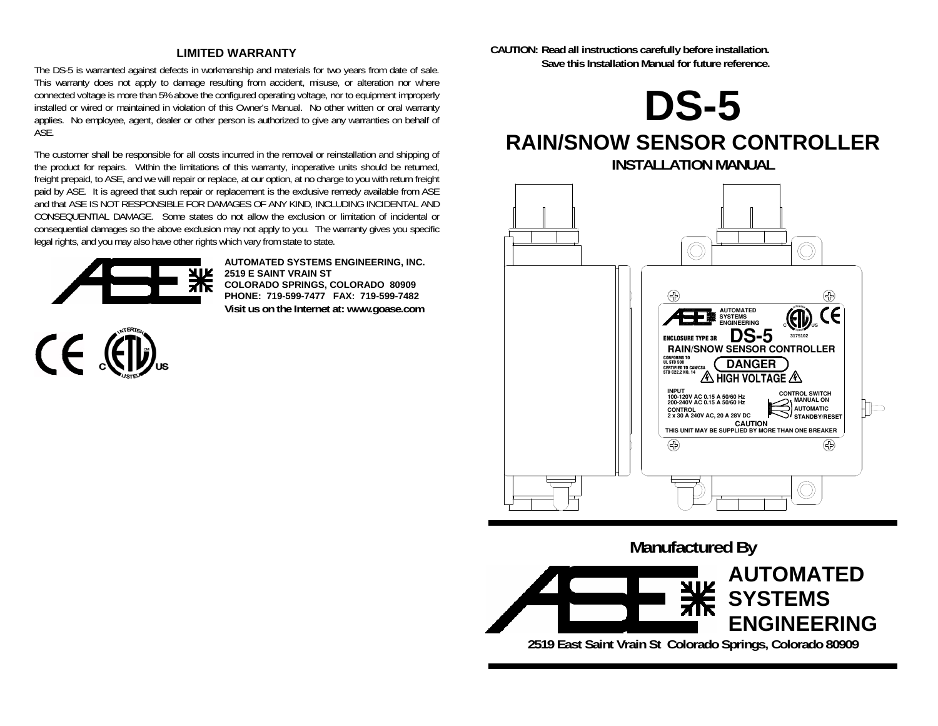#### **LIMITED WARRANTY**

The DS-5 is warranted against defects in workmanship and materials for two years from date of sale. This warranty does not apply to damage resulting from accident, misuse, or alteration nor where connected voltage is more than 5% above the configured operating voltage, nor to equipment improperly installed or wired or maintained in violation of this Owner's Manual. No other written or oral warranty applies. No employee, agent, dealer or other person is authorized to give any warranties on behalf of ASE.

The customer shall be responsible for all costs incurred in the removal or reinstallation and shipping of the product for repairs. Within the limitations of this warranty, inoperative units should be returned, freight prepaid, to ASE, and we will repair or replace, at our option, at no charge to you with return freight paid by ASE. It is agreed that such repair or replacement is the exclusive remedy available from ASE and that ASE IS NOT RESPONSIBLE FOR DAMAGES OF ANY KIND, INCLUDING INCIDENTAL AND CONSEQUENTIAL DAMAGE. Some states do not allow the exclusion or limitation of incidental or consequential damages so the above exclusion may not apply to you. The warranty gives you specific legal rights, and you may also have other rights which vary from state to state.



**AUTOMATED SYSTEMS ENGINEERING, INC. 2519 E SAINT VRAIN ST COLORADO SPRINGS, COLORADO 80909 PHONE: 719-599-7477 FAX: 719-599-7482Visit us on the Internet at: www.goase.com**



**CAUTION: Read all instructions carefully before installation. Save this Installation Manual for future reference.** 





**2519 East Saint Vrain St Colorado Springs, Colorado 80909**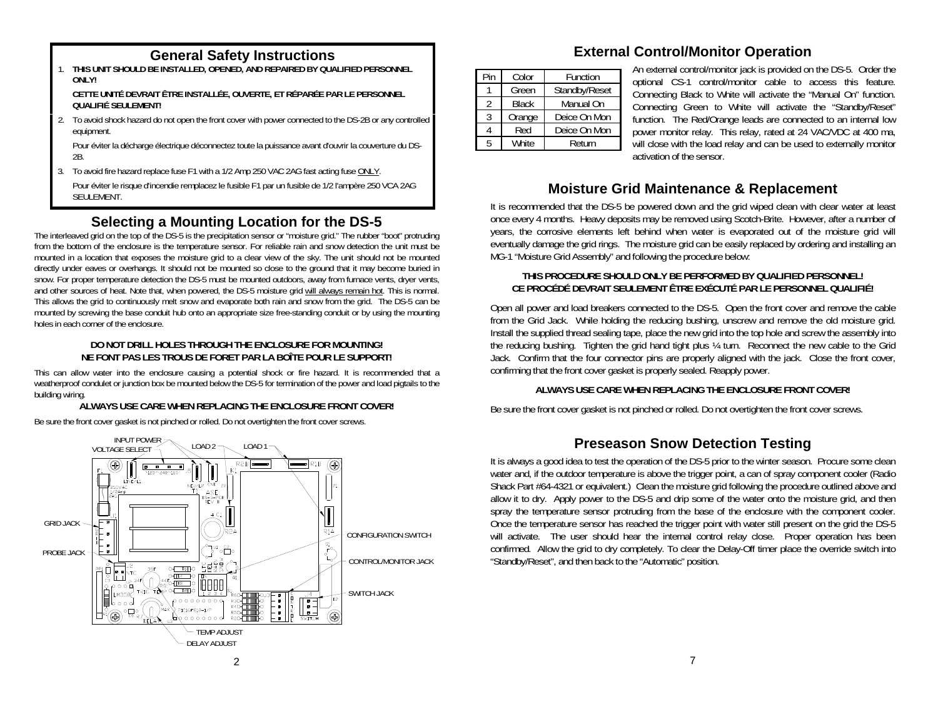1. **THIS UNIT SHOULD BE INSTALLED, OPENED, AND REPAIRED BY QUALIFIED PERSONNEL ONLY!** 

 **CETTE UNITÉ DEVRAIT ÊTRE INSTALLÉE, OUVERTE, ET RÉPARÉE PAR LE PERSONNEL QUALIFIÉ SEULEMENT!** 

2. To avoid shock hazard do not open the front cover with power connected to the DS-2B or any controlled equipment.

 Pour éviter la décharge électrique déconnectez toute la puissance avant d'ouvrir la couverture du DS-2B.

- 3. To avoid fire hazard replace fuse F1 with a 1/2 Amp 250 VAC 2AG fast acting fuse ONLY.
- Pour éviter le risque d'incendie remplacez le fusible F1 par un fusible de 1/2 l'ampère 250 VCA 2AG SEULEMENT.

# **Selecting a Mounting Location for the DS-5**

The interleaved grid on the top of the DS-5 is the precipitation sensor or "moisture grid." The rubber "boot" protruding from the bottom of the enclosure is the temperature sensor. For reliable rain and snow detection the unit must be mounted in a location that exposes the moisture grid to a clear view of the sky. The unit should not be mounted directly under eaves or overhangs. It should not be mounted so close to the ground that it may become buried in snow. For proper temperature detection the DS-5 must be mounted outdoors, away from furnace vents, dryer vents, and other sources of heat. Note that, when powered, the DS-5 moisture grid will always remain hot. This is normal. This allows the grid to continuously melt snow and evaporate both rain and snow from the grid. The DS-5 can be mounted by screwing the base conduit hub onto an appropriate size free-standing conduit or by using the mounting holes in each corner of the enclosure.

#### **DO NOT DRILL HOLES THROUGH THE ENCLOSURE FOR MOUNTING! NE FONT PAS LES TROUS DE FORET PAR LA BOÎTE POUR LE SUPPORT!**

This can allow water into the enclosure causing a potential shock or fire hazard. It is recommended that a weatherproof condulet or junction box be mounted below the DS-5 for termination of the power and load pigtails to the building wiring.

## **ALWAYS USE CARE WHEN REPLACING THE ENCLOSURE FRONT COVER!**

Be sure the front cover gasket is not pinched or rolled. Do not overtighten the front cover screws.



# **General Safety Instructions External Control/Monitor Operation**

| Pin | Color        | Function      |  |  |
|-----|--------------|---------------|--|--|
|     | Green        | Standby/Reset |  |  |
| 2   | <b>Black</b> | Manual On     |  |  |
|     | Orange       | Deice On Mon  |  |  |
|     | Red          | Deice On Mon  |  |  |
| 5   | <b>White</b> | Return        |  |  |

An external control/monitor jack is provided on the DS-5. Order the optional CS-1 control/monitor cable to access this feature. Connecting Black to White will activate the "Manual On" function. Connecting Green to White will activate the "Standby/Reset" function. The Red/Orange leads are connected to an internal low power monitor relay. This relay, rated at 24 VAC/VDC at 400 ma, will close with the load relay and can be used to externally monitor activation of the sensor.

# **Moisture Grid Maintenance & Replacement**

It is recommended that the DS-5 be powered down and the grid wiped clean with clear water at least once every 4 months. Heavy deposits may be removed using Scotch-Brite. However, after a number of years, the corrosive elements left behind when water is evaporated out of the moisture grid will eventually damage the grid rings. The moisture grid can be easily replaced by ordering and installing an MG-1 "Moisture Grid Assembly" and following the procedure below:

#### **THIS PROCEDURE SHOULD ONLY BE PERFORMED BY QUALIFIED PERSONNEL! CE PROCÉDÉ DEVRAIT SEULEMENT ÊTRE EXÉCUTÉ PAR LE PERSONNEL QUALIFIÉ!**

Open all power and load breakers connected to the DS-5. Open the front cover and remove the cable from the Grid Jack. While holding the reducing bushing, unscrew and remove the old moisture grid. Install the supplied thread sealing tape, place the new grid into the top hole and screw the assembly into the reducing bushing. Tighten the grid hand tight plus ¼ turn. Reconnect the new cable to the Grid Jack. Confirm that the four connector pins are properly aligned with the jack. Close the front cover, confirming that the front cover gasket is properly sealed. Reapply power.

## **ALWAYS USE CARE WHEN REPLACING THE ENCLOSURE FRONT COVER!**

Be sure the front cover gasket is not pinched or rolled. Do not overtighten the front cover screws.

# **Preseason Snow Detection Testing**

It is always a good idea to test the operation of the DS-5 prior to the winter season. Procure some clean water and, if the outdoor temperature is above the trigger point, a can of spray component cooler (Radio Shack Part #64-4321 or equivalent.) Clean the moisture grid following the procedure outlined above and allow it to dry. Apply power to the DS-5 and drip some of the water onto the moisture grid, and then spray the temperature sensor protruding from the base of the enclosure with the component cooler. Once the temperature sensor has reached the trigger point with water still present on the grid the DS-5 will activate. The user should hear the internal control relay close. Proper operation has been confirmed. Allow the grid to dry completely. To clear the Delay-Off timer place the override switch into "Standby/Reset", and then back to the "Automatic" position.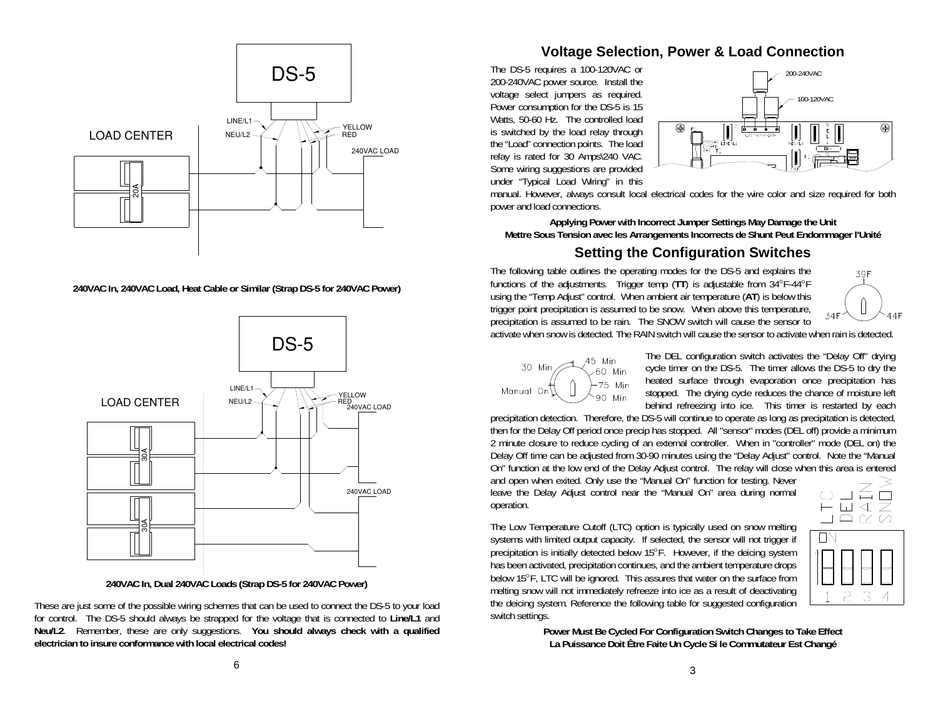

**240VAC In, 240VAC Load, Heat Cable or Similar (Strap DS-5 for 240VAC Power)** 



**240VAC In, Dual 240VAC Loads (Strap DS-5 for 240VAC Power)** 

These are just some of the possible wiring schemes that can be used to connect the DS-5 to your load for control. The DS-5 should always be strapped for the voltage that is connected to **Line/L1** and **Neu/L2**. Remember, these are only suggestions. **You should always check with a qualified electrician to insure conformance with local electrical codes!**

## **Voltage Selection, Power & Load Connection**

The DS-5 requires a 100-120VAC or 200-240VAC power source. Install the voltage select jumpers as required. Power consumption for the DS-5 is 15 Watts, 50-60 Hz. The controlled load is switched by the load relay through the "Load" connection points. The load relay is rated for 30 Amps\240 VAC. Some wiring suggestions are provided under "Typical Load Wiring" in this



manual. However, always consult local electrical codes for the wire color and size required for both power and load connections.

**Applying Power with Incorrect Jumper Settings May Damage the Unit Mettre Sous Tension avec les Arrangements Incorrects de Shunt Peut Endommager l'Unité** 

## **Setting the Configuration Switches**

The following table outlines the operating modes for the DS-5 and explains the functions of the adjustments. Trigger temp (**TT**) is adjustable from 34°F-44°F using the "Temp Adjust" control. When ambient air temperature (**AT**) is below this trigger point precipitation is assumed to be snow. When above this temperature, precipitation is assumed to be rain. The SNOW switch will cause the sensor to



activate when snow is detected. The RAIN switch will cause the sensor to activate when rain is detected.



The DEL configuration switch activates the "Delay Off" drying cycle timer on the DS-5. The timer allows the DS-5 to dry the heated surface through evaporation once precipitation has stopped. The drying cycle reduces the chance of moisture left behind refreezing into ice. This timer is restarted by each

precipitation detection. Therefore, the DS-5 will continue to operate as long as precipitation is detected, then for the Delay Off period once precip has stopped. All "sensor" modes (DEL off) provide a minimum 2 minute closure to reduce cycling of an external controller. When in "controller" mode (DEL on) the Delay Off time can be adjusted from 30-90 minutes using the "Delay Adjust" control. Note the "Manual On" function at the low end of the Delay Adjust control. The relay will close when this area is entered

and open when exited. Only use the "Manual On" function for testing. Never leave the Delay Adjust control near the "Manual On" area during normal operation.

The Low Temperature Cutoff (LTC) option is typically used on snow melting systems with limited output capacity. If selected, the sensor will not trigger if precipitation is initially detected below 15°F. However, if the deicing system has been activated, precipitation continues, and the ambient temperature drops below 15°F, LTC will be ignored. This assures that water on the surface from melting snow will not immediately refreeze into ice as a result of deactivating the deicing system. Reference the following table for suggested configuration switch settings.





**Power Must Be Cycled For Configuration Switch Changes to Take Effect La Puissance Doit Être Faite Un Cycle Si le Commutateur Est Changé**